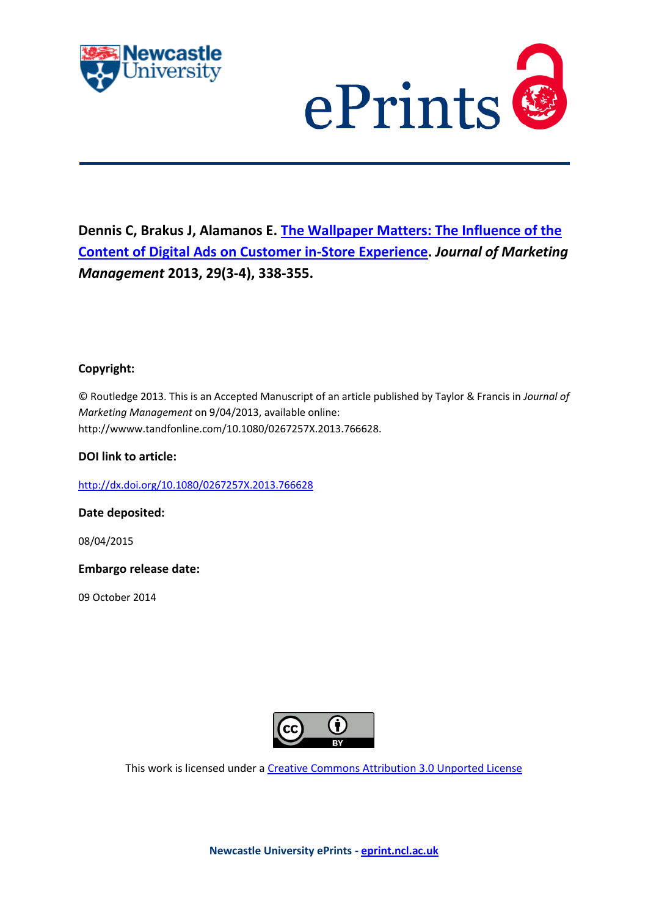



# **Dennis C, Brakus J, Alamanos E. [The Wallpaper Matters: The Influence of the](javascript:ViewPublication(211950);)  [Content of Digital Ads on Customer in-Store Experience.](javascript:ViewPublication(211950);)** *Journal of Marketing Management* **2013, 29(3-4), 338-355.**

# **Copyright:**

© Routledge 2013. This is an Accepted Manuscript of an article published by Taylor & Francis in *Journal of Marketing Management* on 9/04/2013, available online: http://wwww.tandfonline.com/10.1080/0267257X.2013.766628.

# **DOI link to article:**

<http://dx.doi.org/10.1080/0267257X.2013.766628>

**Date deposited:** 

08/04/2015

**Embargo release date:**

09 October 2014



This work is licensed under a [Creative Commons Attribution 3.0 Unported License](http://creativecommons.org/licenses/by/3.0/)

**Newcastle University ePrints - [eprint.ncl.ac.uk](http://eprint.ncl.ac.uk/)**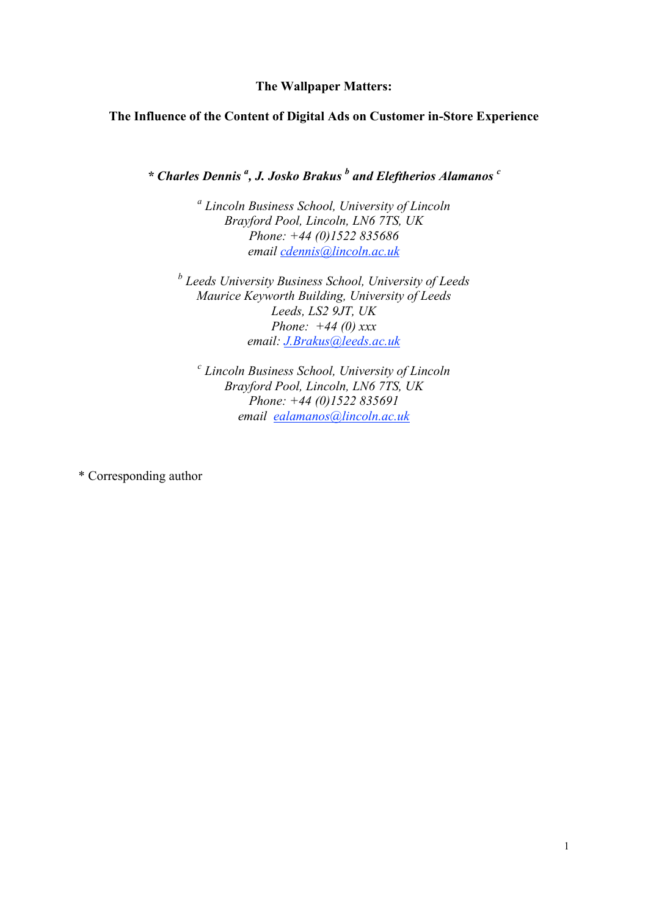# **The Wallpaper Matters:**

# **The Influence of the Content of Digital Ads on Customer in-Store Experience**

*\* Charles Dennis <sup>a</sup> , J. Josko Brakus <sup>b</sup> and Eleftherios Alamanos <sup>c</sup>*

*a Lincoln Business School, University of Lincoln Brayford Pool, Lincoln, LN6 7TS, UK Phone: +44 (0)1522 835686 email cdennis@lincoln.ac.uk*

*b Leeds University Business School, University of Leeds Maurice Keyworth Building, University of Leeds Leeds, LS2 9JT, UK Phone: +44 (0) xxx email: J.Brakus@leeds.ac.uk*

*c Lincoln Business School, University of Lincoln Brayford Pool, Lincoln, LN6 7TS, UK Phone: +44 (0)1522 835691 email ealamanos@lincoln.ac.uk*

\* Corresponding author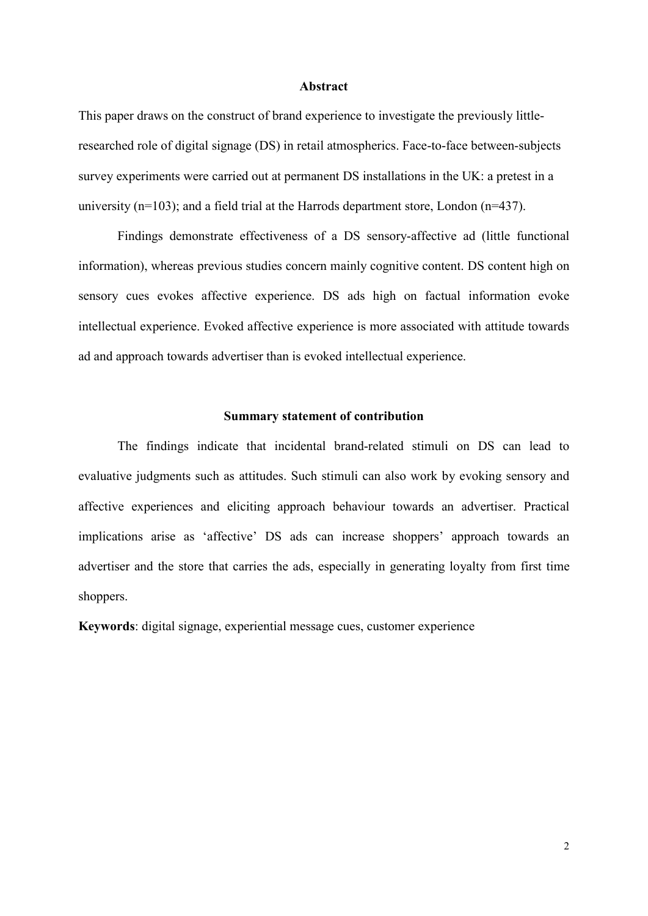#### **Abstract**

This paper draws on the construct of brand experience to investigate the previously littleresearched role of digital signage (DS) in retail atmospherics. Face-to-face between-subjects survey experiments were carried out at permanent DS installations in the UK: a pretest in a university (n=103); and a field trial at the Harrods department store, London (n=437).

Findings demonstrate effectiveness of a DS sensory-affective ad (little functional information), whereas previous studies concern mainly cognitive content. DS content high on sensory cues evokes affective experience. DS ads high on factual information evoke intellectual experience. Evoked affective experience is more associated with attitude towards ad and approach towards advertiser than is evoked intellectual experience.

## **Summary statement of contribution**

The findings indicate that incidental brand-related stimuli on DS can lead to evaluative judgments such as attitudes. Such stimuli can also work by evoking sensory and affective experiences and eliciting approach behaviour towards an advertiser. Practical implications arise as 'affective' DS ads can increase shoppers' approach towards an advertiser and the store that carries the ads, especially in generating loyalty from first time shoppers.

**Keywords**: digital signage, experiential message cues, customer experience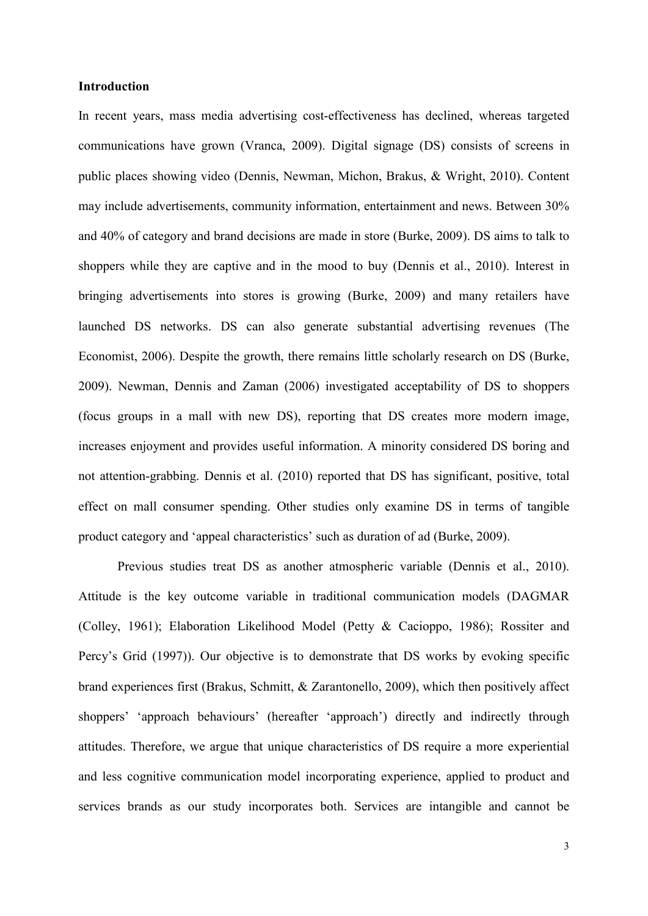## **Introduction**

In recent years, mass media advertising cost-effectiveness has declined, whereas targeted communications have grown (Vranca, 2009). Digital signage (DS) consists of screens in public places showing video (Dennis, Newman, Michon, Brakus, & Wright, 2010). Content may include advertisements, community information, entertainment and news. Between 30% and 40% of category and brand decisions are made in store (Burke, 2009). DS aims to talk to shoppers while they are captive and in the mood to buy (Dennis et al., 2010). Interest in bringing advertisements into stores is growing (Burke, 2009) and many retailers have launched DS networks. DS can also generate substantial advertising revenues (The Economist, 2006). Despite the growth, there remains little scholarly research on DS (Burke, 2009). Newman, Dennis and Zaman (2006) investigated acceptability of DS to shoppers (focus groups in a mall with new DS), reporting that DS creates more modern image, increases enjoyment and provides useful information. A minority considered DS boring and not attention-grabbing. Dennis et al. (2010) reported that DS has significant, positive, total effect on mall consumer spending. Other studies only examine DS in terms of tangible product category and 'appeal characteristics' such as duration of ad (Burke, 2009).

Previous studies treat DS as another atmospheric variable (Dennis et al., 2010). Attitude is the key outcome variable in traditional communication models (DAGMAR (Colley, 1961); Elaboration Likelihood Model (Petty & Cacioppo, 1986); Rossiter and Percy's Grid (1997)). Our objective is to demonstrate that DS works by evoking specific brand experiences first (Brakus, Schmitt, & Zarantonello, 2009), which then positively affect shoppers' 'approach behaviours' (hereafter 'approach') directly and indirectly through attitudes. Therefore, we argue that unique characteristics of DS require a more experiential and less cognitive communication model incorporating experience, applied to product and services brands as our study incorporates both. Services are intangible and cannot be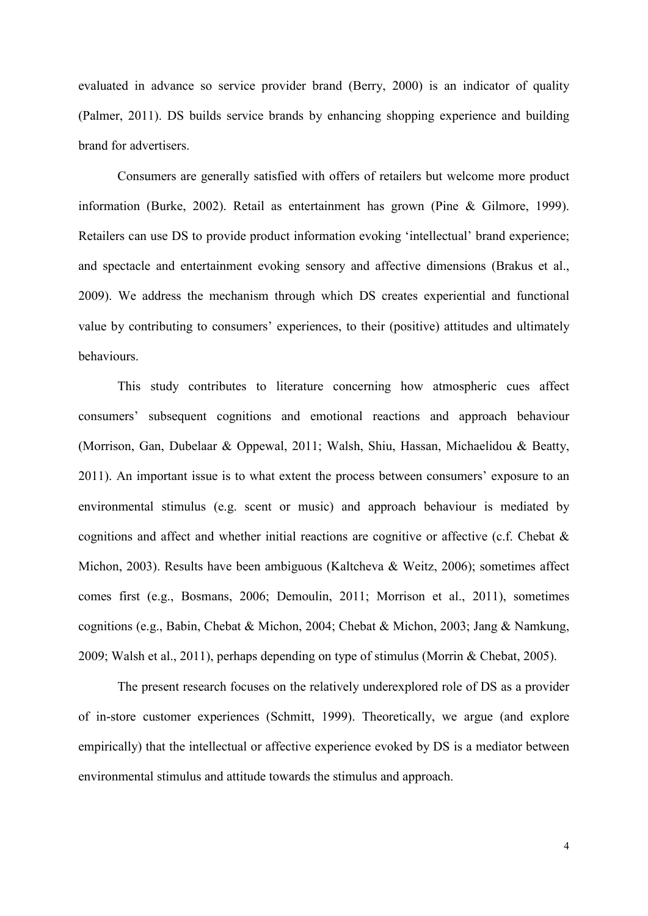evaluated in advance so service provider brand (Berry, 2000) is an indicator of quality (Palmer, 2011). DS builds service brands by enhancing shopping experience and building brand for advertisers.

Consumers are generally satisfied with offers of retailers but welcome more product information (Burke, 2002). Retail as entertainment has grown (Pine & Gilmore, 1999). Retailers can use DS to provide product information evoking 'intellectual' brand experience; and spectacle and entertainment evoking sensory and affective dimensions (Brakus et al., 2009). We address the mechanism through which DS creates experiential and functional value by contributing to consumers' experiences, to their (positive) attitudes and ultimately behaviours.

This study contributes to literature concerning how atmospheric cues affect consumers' subsequent cognitions and emotional reactions and approach behaviour (Morrison, Gan, Dubelaar & Oppewal, 2011; Walsh, Shiu, Hassan, Michaelidou & Beatty, 2011). An important issue is to what extent the process between consumers' exposure to an environmental stimulus (e.g. scent or music) and approach behaviour is mediated by cognitions and affect and whether initial reactions are cognitive or affective (c.f. Chebat & Michon, 2003). Results have been ambiguous (Kaltcheva & Weitz, 2006); sometimes affect comes first (e.g., Bosmans, 2006; Demoulin, 2011; Morrison et al., 2011), sometimes cognitions (e.g., Babin, Chebat & Michon, 2004; Chebat & Michon, 2003; Jang & Namkung, 2009; Walsh et al., 2011), perhaps depending on type of stimulus (Morrin & Chebat, 2005).

The present research focuses on the relatively underexplored role of DS as a provider of in-store customer experiences (Schmitt, 1999). Theoretically, we argue (and explore empirically) that the intellectual or affective experience evoked by DS is a mediator between environmental stimulus and attitude towards the stimulus and approach.

4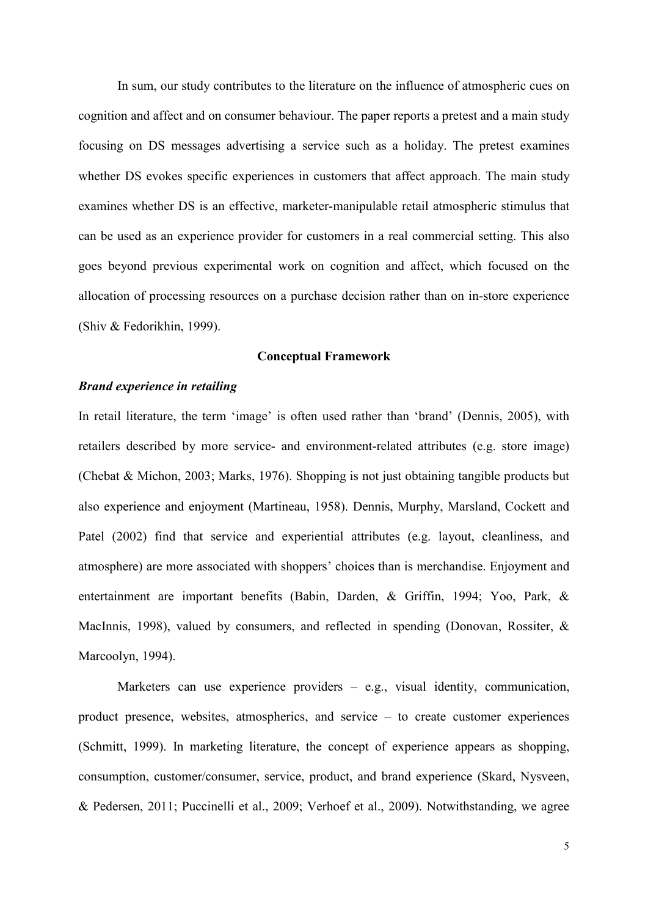In sum, our study contributes to the literature on the influence of atmospheric cues on cognition and affect and on consumer behaviour. The paper reports a pretest and a main study focusing on DS messages advertising a service such as a holiday. The pretest examines whether DS evokes specific experiences in customers that affect approach. The main study examines whether DS is an effective, marketer-manipulable retail atmospheric stimulus that can be used as an experience provider for customers in a real commercial setting. This also goes beyond previous experimental work on cognition and affect, which focused on the allocation of processing resources on a purchase decision rather than on in-store experience (Shiv & Fedorikhin, 1999).

## **Conceptual Framework**

# *Brand experience in retailing*

In retail literature, the term 'image' is often used rather than 'brand' (Dennis, 2005), with retailers described by more service- and environment-related attributes (e.g. store image) (Chebat & Michon, 2003; Marks, 1976). Shopping is not just obtaining tangible products but also experience and enjoyment (Martineau, 1958). Dennis, Murphy, Marsland, Cockett and Patel (2002) find that service and experiential attributes (e.g. layout, cleanliness, and atmosphere) are more associated with shoppers' choices than is merchandise. Enjoyment and entertainment are important benefits (Babin, Darden, & Griffin, 1994; Yoo, Park, & MacInnis, 1998), valued by consumers, and reflected in spending (Donovan, Rossiter, & Marcoolyn, 1994).

Marketers can use experience providers  $-$  e.g., visual identity, communication, product presence, websites, atmospherics, and service – to create customer experiences (Schmitt, 1999). In marketing literature, the concept of experience appears as shopping, consumption, customer/consumer, service, product, and brand experience (Skard, Nysveen, & Pedersen, 2011; Puccinelli et al., 2009; Verhoef et al., 2009). Notwithstanding, we agree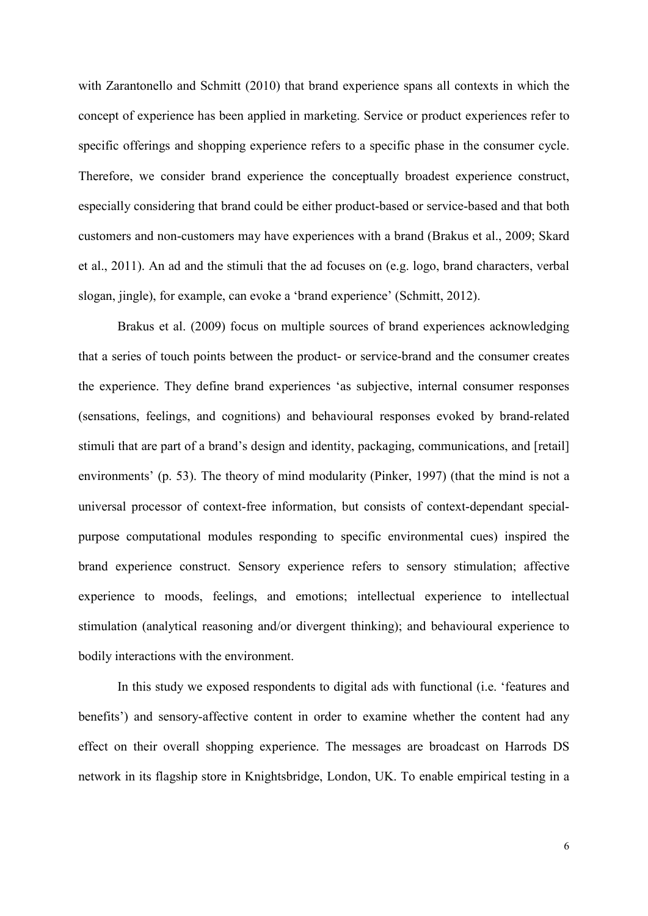with Zarantonello and Schmitt (2010) that brand experience spans all contexts in which the concept of experience has been applied in marketing. Service or product experiences refer to specific offerings and shopping experience refers to a specific phase in the consumer cycle. Therefore, we consider brand experience the conceptually broadest experience construct, especially considering that brand could be either product-based or service-based and that both customers and non-customers may have experiences with a brand (Brakus et al., 2009; Skard et al., 2011). An ad and the stimuli that the ad focuses on (e.g. logo, brand characters, verbal slogan, jingle), for example, can evoke a 'brand experience' (Schmitt, 2012).

Brakus et al. (2009) focus on multiple sources of brand experiences acknowledging that a series of touch points between the product- or service-brand and the consumer creates the experience. They define brand experiences 'as subjective, internal consumer responses (sensations, feelings, and cognitions) and behavioural responses evoked by brand-related stimuli that are part of a brand's design and identity, packaging, communications, and [retail] environments' (p. 53). The theory of mind modularity (Pinker, 1997) (that the mind is not a universal processor of context-free information, but consists of context-dependant specialpurpose computational modules responding to specific environmental cues) inspired the brand experience construct. Sensory experience refers to sensory stimulation; affective experience to moods, feelings, and emotions; intellectual experience to intellectual stimulation (analytical reasoning and/or divergent thinking); and behavioural experience to bodily interactions with the environment.

In this study we exposed respondents to digital ads with functional (i.e. 'features and benefits') and sensory-affective content in order to examine whether the content had any effect on their overall shopping experience. The messages are broadcast on Harrods DS network in its flagship store in Knightsbridge, London, UK. To enable empirical testing in a

6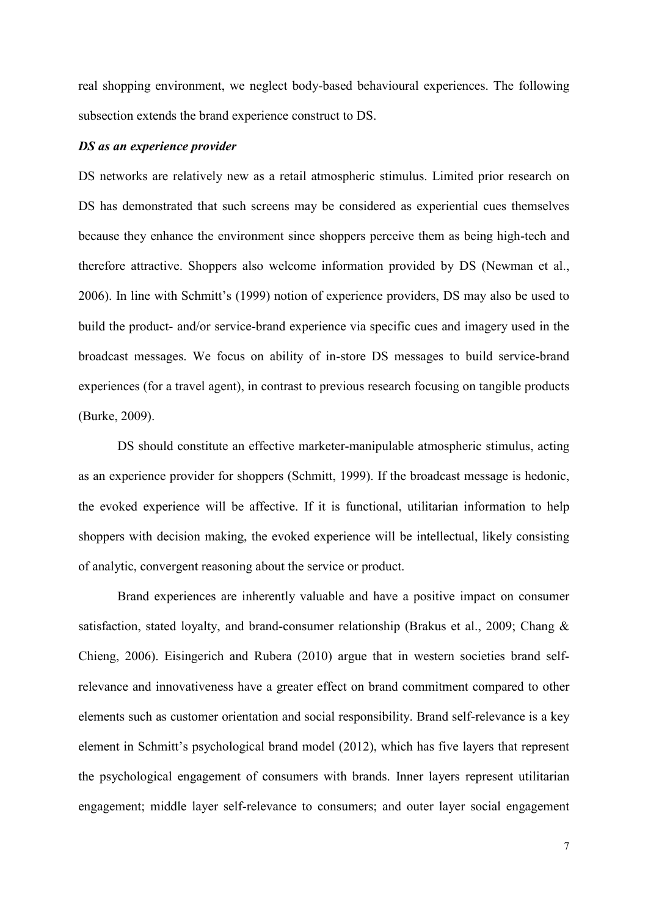real shopping environment, we neglect body-based behavioural experiences. The following subsection extends the brand experience construct to DS.

#### *DS as an experience provider*

DS networks are relatively new as a retail atmospheric stimulus. Limited prior research on DS has demonstrated that such screens may be considered as experiential cues themselves because they enhance the environment since shoppers perceive them as being high-tech and therefore attractive. Shoppers also welcome information provided by DS (Newman et al., 2006). In line with Schmitt's (1999) notion of experience providers, DS may also be used to build the product- and/or service-brand experience via specific cues and imagery used in the broadcast messages. We focus on ability of in-store DS messages to build service-brand experiences (for a travel agent), in contrast to previous research focusing on tangible products (Burke, 2009).

DS should constitute an effective marketer-manipulable atmospheric stimulus, acting as an experience provider for shoppers (Schmitt, 1999). If the broadcast message is hedonic, the evoked experience will be affective. If it is functional, utilitarian information to help shoppers with decision making, the evoked experience will be intellectual, likely consisting of analytic, convergent reasoning about the service or product.

Brand experiences are inherently valuable and have a positive impact on consumer satisfaction, stated loyalty, and brand-consumer relationship (Brakus et al., 2009; Chang & Chieng, 2006). Eisingerich and Rubera (2010) argue that in western societies brand selfrelevance and innovativeness have a greater effect on brand commitment compared to other elements such as customer orientation and social responsibility. Brand self-relevance is a key element in Schmitt's psychological brand model (2012), which has five layers that represent the psychological engagement of consumers with brands. Inner layers represent utilitarian engagement; middle layer self-relevance to consumers; and outer layer social engagement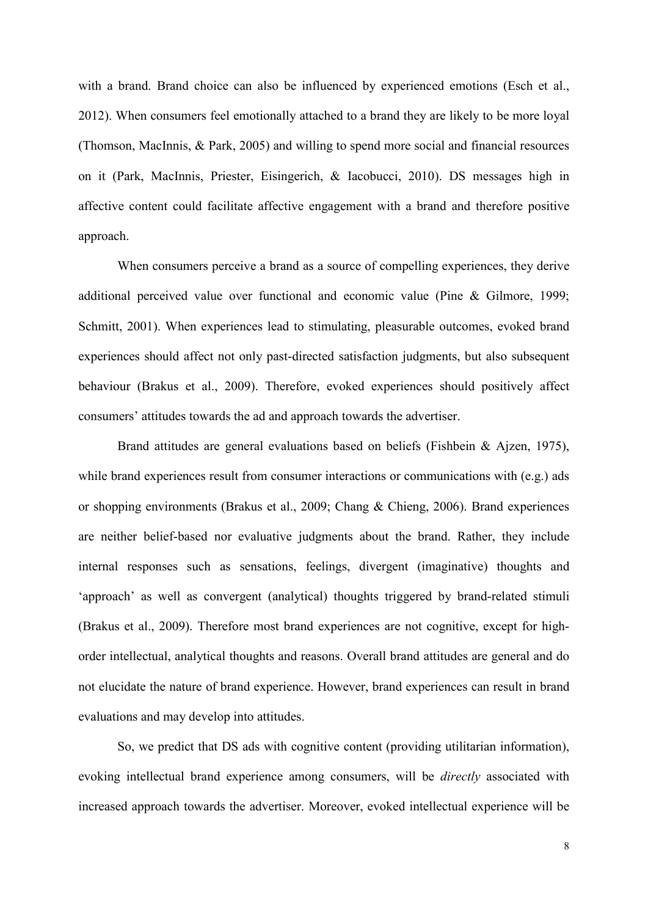with a brand. Brand choice can also be influenced by experienced emotions (Esch et al., 2012). When consumers feel emotionally attached to a brand they are likely to be more loyal (Thomson, MacInnis, & Park, 2005) and willing to spend more social and financial resources on it (Park, MacInnis, Priester, Eisingerich, & Iacobucci, 2010). DS messages high in affective content could facilitate affective engagement with a brand and therefore positive approach.

When consumers perceive a brand as a source of compelling experiences, they derive additional perceived value over functional and economic value (Pine & Gilmore, 1999; Schmitt, 2001). When experiences lead to stimulating, pleasurable outcomes, evoked brand experiences should affect not only past-directed satisfaction judgments, but also subsequent behaviour (Brakus et al., 2009). Therefore, evoked experiences should positively affect consumers' attitudes towards the ad and approach towards the advertiser.

Brand attitudes are general evaluations based on beliefs (Fishbein & Ajzen, 1975), while brand experiences result from consumer interactions or communications with  $(e, g)$  ads or shopping environments (Brakus et al., 2009; Chang & Chieng, 2006). Brand experiences are neither belief-based nor evaluative judgments about the brand. Rather, they include internal responses such as sensations, feelings, divergent (imaginative) thoughts and 'approach' as well as convergent (analytical) thoughts triggered by brand-related stimuli (Brakus et al., 2009). Therefore most brand experiences are not cognitive, except for highorder intellectual, analytical thoughts and reasons. Overall brand attitudes are general and do not elucidate the nature of brand experience. However, brand experiences can result in brand evaluations and may develop into attitudes.

So, we predict that DS ads with cognitive content (providing utilitarian information), evoking intellectual brand experience among consumers, will be *directly* associated with increased approach towards the advertiser. Moreover, evoked intellectual experience will be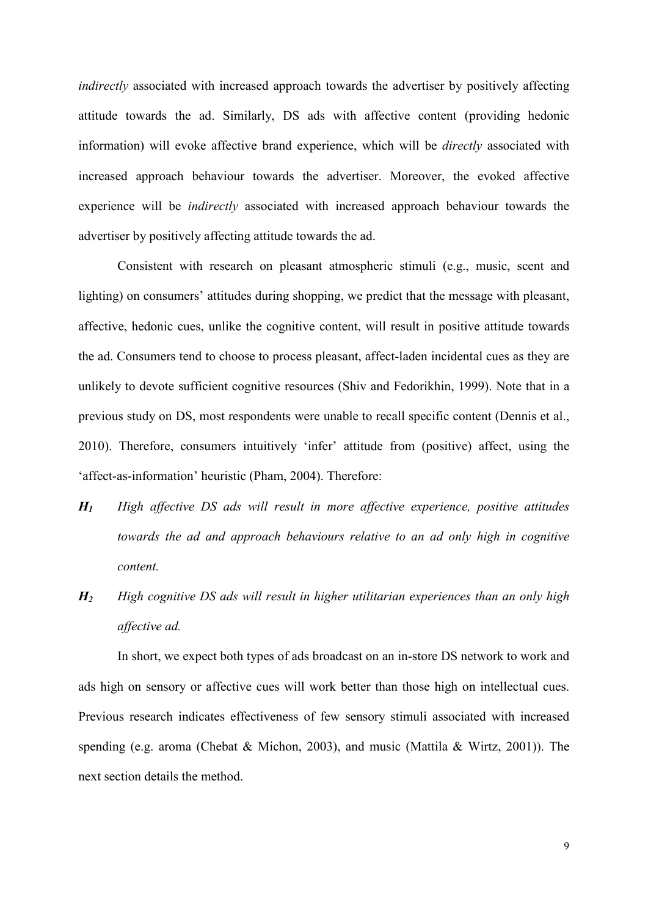*indirectly* associated with increased approach towards the advertiser by positively affecting attitude towards the ad. Similarly, DS ads with affective content (providing hedonic information) will evoke affective brand experience, which will be *directly* associated with increased approach behaviour towards the advertiser. Moreover, the evoked affective experience will be *indirectly* associated with increased approach behaviour towards the advertiser by positively affecting attitude towards the ad.

Consistent with research on pleasant atmospheric stimuli (e.g., music, scent and lighting) on consumers' attitudes during shopping, we predict that the message with pleasant, affective, hedonic cues, unlike the cognitive content, will result in positive attitude towards the ad. Consumers tend to choose to process pleasant, affect-laden incidental cues as they are unlikely to devote sufficient cognitive resources (Shiv and Fedorikhin, 1999). Note that in a previous study on DS, most respondents were unable to recall specific content (Dennis et al., 2010). Therefore, consumers intuitively 'infer' attitude from (positive) affect, using the 'affect-as-information' heuristic (Pham, 2004). Therefore:

- *H1 High affective DS ads will result in more affective experience, positive attitudes towards the ad and approach behaviours relative to an ad only high in cognitive content.*
- *H2 High cognitive DS ads will result in higher utilitarian experiences than an only high affective ad.*

In short, we expect both types of ads broadcast on an in-store DS network to work and ads high on sensory or affective cues will work better than those high on intellectual cues. Previous research indicates effectiveness of few sensory stimuli associated with increased spending (e.g. aroma (Chebat & Michon, 2003), and music (Mattila & Wirtz, 2001)). The next section details the method.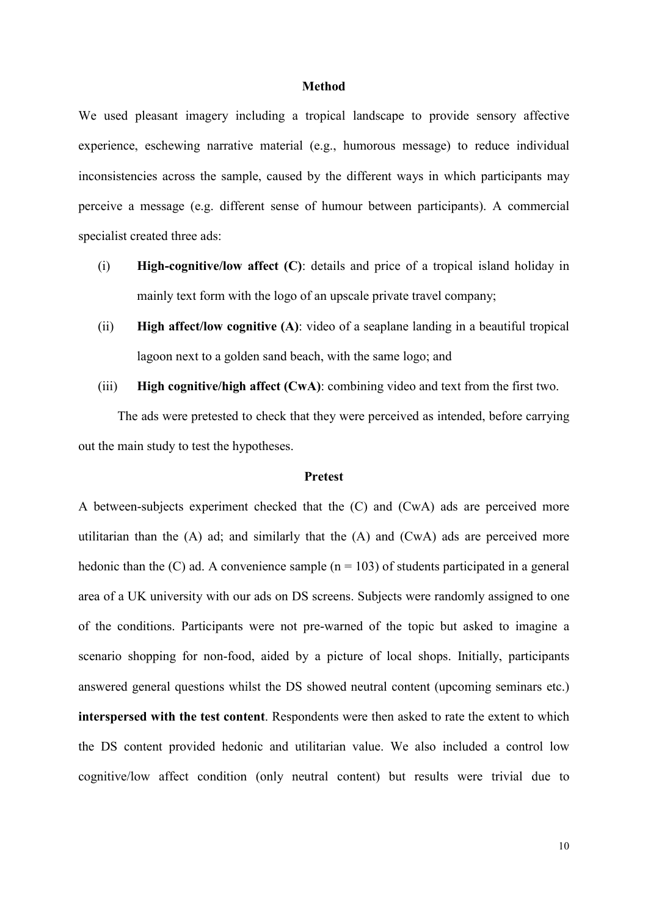#### **Method**

We used pleasant imagery including a tropical landscape to provide sensory affective experience, eschewing narrative material (e.g., humorous message) to reduce individual inconsistencies across the sample, caused by the different ways in which participants may perceive a message (e.g. different sense of humour between participants). A commercial specialist created three ads:

- (i) **High-cognitive/low affect (C)**: details and price of a tropical island holiday in mainly text form with the logo of an upscale private travel company;
- (ii) **High affect/low cognitive (A)**: video of a seaplane landing in a beautiful tropical lagoon next to a golden sand beach, with the same logo; and
- (iii) **High cognitive/high affect (CwA)**: combining video and text from the first two.

The ads were pretested to check that they were perceived as intended, before carrying out the main study to test the hypotheses.

## **Pretest**

A between-subjects experiment checked that the (C) and (CwA) ads are perceived more utilitarian than the (A) ad; and similarly that the (A) and (CwA) ads are perceived more hedonic than the  $(C)$  ad. A convenience sample  $(n = 103)$  of students participated in a general area of a UK university with our ads on DS screens. Subjects were randomly assigned to one of the conditions. Participants were not pre-warned of the topic but asked to imagine a scenario shopping for non-food, aided by a picture of local shops. Initially, participants answered general questions whilst the DS showed neutral content (upcoming seminars etc.) **interspersed with the test content**. Respondents were then asked to rate the extent to which the DS content provided hedonic and utilitarian value. We also included a control low cognitive/low affect condition (only neutral content) but results were trivial due to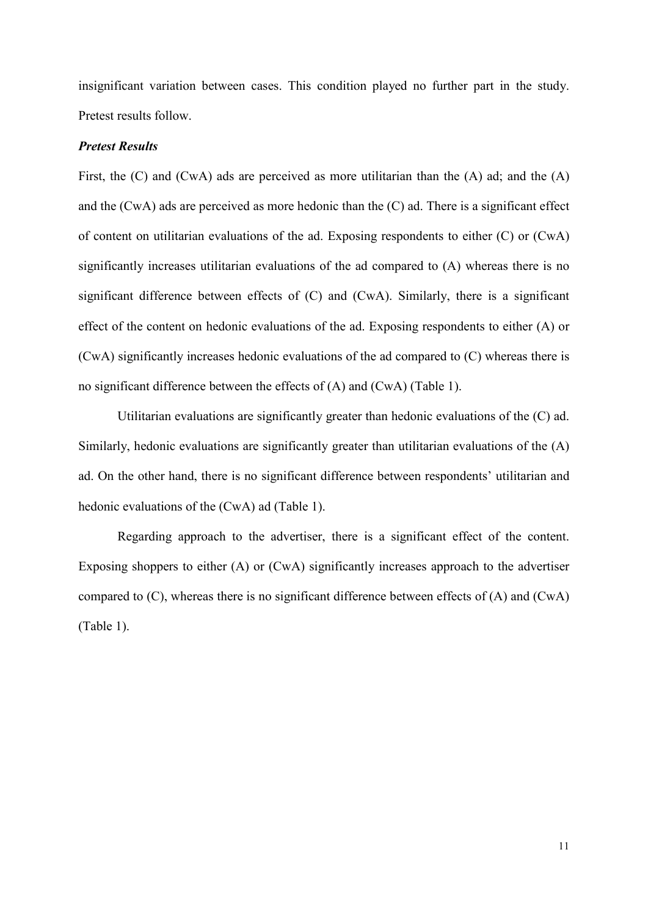insignificant variation between cases. This condition played no further part in the study. Pretest results follow.

## *Pretest Results*

First, the (C) and (CwA) ads are perceived as more utilitarian than the (A) ad; and the (A) and the (CwA) ads are perceived as more hedonic than the (C) ad. There is a significant effect of content on utilitarian evaluations of the ad. Exposing respondents to either (C) or (CwA) significantly increases utilitarian evaluations of the ad compared to (A) whereas there is no significant difference between effects of (C) and (CwA). Similarly, there is a significant effect of the content on hedonic evaluations of the ad. Exposing respondents to either (A) or (CwA) significantly increases hedonic evaluations of the ad compared to (C) whereas there is no significant difference between the effects of (A) and (CwA) (Table 1).

Utilitarian evaluations are significantly greater than hedonic evaluations of the (C) ad. Similarly, hedonic evaluations are significantly greater than utilitarian evaluations of the (A) ad. On the other hand, there is no significant difference between respondents' utilitarian and hedonic evaluations of the (CwA) ad (Table 1).

Regarding approach to the advertiser, there is a significant effect of the content. Exposing shoppers to either (A) or (CwA) significantly increases approach to the advertiser compared to (C), whereas there is no significant difference between effects of (A) and (CwA) (Table 1).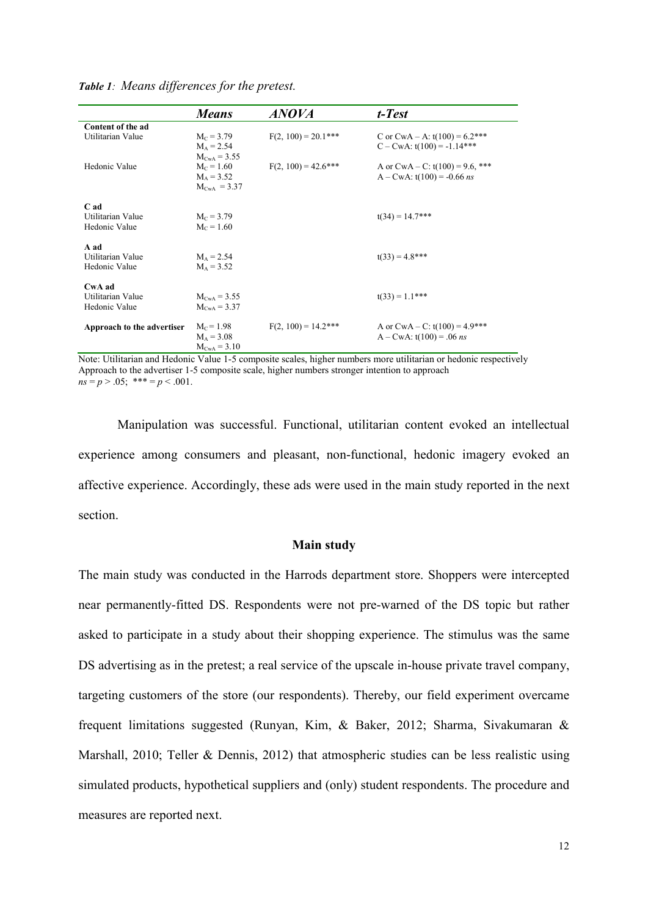|                                              | <b>Means</b>                                     | <b>ANOVA</b>           | t-Test                                                                 |
|----------------------------------------------|--------------------------------------------------|------------------------|------------------------------------------------------------------------|
| Content of the ad                            |                                                  |                        |                                                                        |
| Utilitarian Value                            | $M_c = 3.79$<br>$M_A = 2.54$<br>$M_{CWA} = 3.55$ | $F(2, 100) = 20.1***$  | C or CwA – A: $t(100) = 6.2$ ***<br>$C - C w A$ : $t(100) = -1.14***$  |
| Hedonic Value                                | $M_c = 1.60$<br>$M_A = 3.52$<br>$M_{CWA} = 3.37$ | $F(2, 100) = 42.6$ *** | A or $CWA - C$ : $t(100) = 9.6$ , ***<br>$A - CWA$ : t(100) = -0.66 ns |
| C ad<br>Utilitarian Value<br>Hedonic Value   | $M_c = 3.79$<br>$M_c = 1.60$                     |                        | $t(34) = 14.7$ ***                                                     |
| A ad<br>Utilitarian Value<br>Hedonic Value   | $M_A = 2.54$<br>$M_A = 3.52$                     |                        | $t(33) = 4.8$ ***                                                      |
| CwA ad<br>Utilitarian Value<br>Hedonic Value | $M_{CWA} = 3.55$<br>$M_{CWA} = 3.37$             |                        | $t(33) = 1.1***$                                                       |
| Approach to the advertiser                   | $M_c = 1.98$<br>$M_A = 3.08$<br>$M_{CWA} = 3.10$ | $F(2, 100) = 14.2$ *** | A or CwA – C: $t(100) = 4.9$ ***<br>$A - CWA$ : t(100) = .06 ns        |

*Table 1: Means differences for the pretest.*

Note: Utilitarian and Hedonic Value 1-5 composite scales, higher numbers more utilitarian or hedonic respectively Approach to the advertiser 1-5 composite scale, higher numbers stronger intention to approach  $ns = p > 0.05$ ; \*\*\* =  $p < 0.001$ .

Manipulation was successful. Functional, utilitarian content evoked an intellectual experience among consumers and pleasant, non-functional, hedonic imagery evoked an affective experience. Accordingly, these ads were used in the main study reported in the next section.

## **Main study**

The main study was conducted in the Harrods department store. Shoppers were intercepted near permanently-fitted DS. Respondents were not pre-warned of the DS topic but rather asked to participate in a study about their shopping experience. The stimulus was the same DS advertising as in the pretest; a real service of the upscale in-house private travel company, targeting customers of the store (our respondents). Thereby, our field experiment overcame frequent limitations suggested (Runyan, Kim, & Baker, 2012; Sharma, Sivakumaran & Marshall, 2010; Teller & Dennis, 2012) that atmospheric studies can be less realistic using simulated products, hypothetical suppliers and (only) student respondents. The procedure and measures are reported next.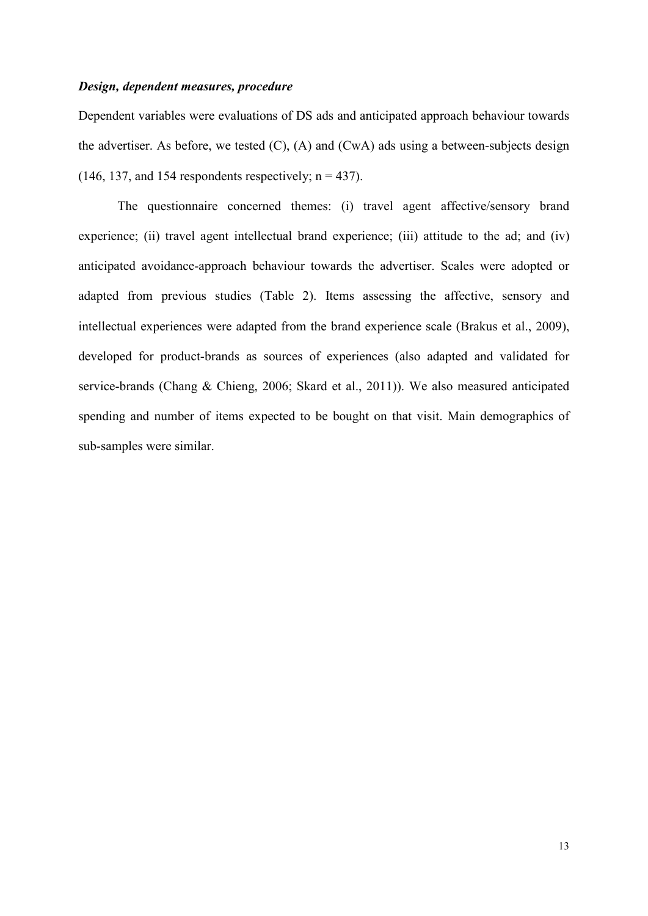## *Design, dependent measures, procedure*

Dependent variables were evaluations of DS ads and anticipated approach behaviour towards the advertiser. As before, we tested  $(C)$ ,  $(A)$  and  $(CwA)$  ads using a between-subjects design (146, 137, and 154 respondents respectively;  $n = 437$ ).

The questionnaire concerned themes: (i) travel agent affective/sensory brand experience; (ii) travel agent intellectual brand experience; (iii) attitude to the ad; and (iv) anticipated avoidance-approach behaviour towards the advertiser. Scales were adopted or adapted from previous studies (Table 2). Items assessing the affective, sensory and intellectual experiences were adapted from the brand experience scale (Brakus et al., 2009), developed for product-brands as sources of experiences (also adapted and validated for service-brands (Chang & Chieng, 2006; Skard et al., 2011)). We also measured anticipated spending and number of items expected to be bought on that visit. Main demographics of sub-samples were similar.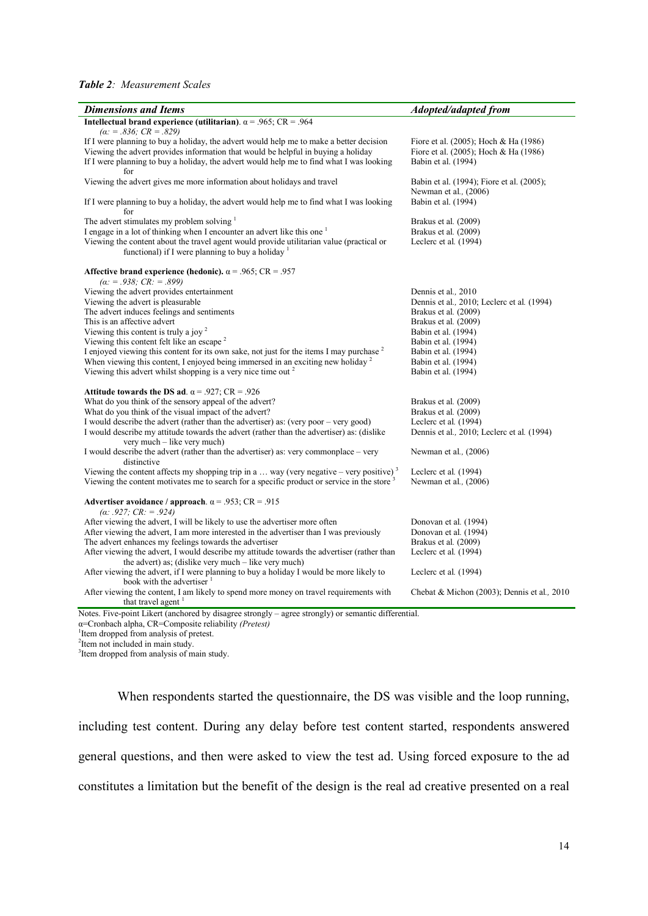#### *Table 2: Measurement Scales*

| <b>Dimensions and Items</b>                                                                                                                                                                                                                                                     | <b>Adopted/adapted from</b>                                                                           |
|---------------------------------------------------------------------------------------------------------------------------------------------------------------------------------------------------------------------------------------------------------------------------------|-------------------------------------------------------------------------------------------------------|
| Intellectual brand experience (utilitarian). $\alpha$ = .965; CR = .964<br>$(\alpha$ : = .836; CR = .829)                                                                                                                                                                       |                                                                                                       |
| If I were planning to buy a holiday, the advert would help me to make a better decision<br>Viewing the advert provides information that would be helpful in buying a holiday<br>If I were planning to buy a holiday, the advert would help me to find what I was looking<br>for | Fiore et al. (2005); Hoch & Ha (1986)<br>Fiore et al. (2005); Hoch & Ha (1986)<br>Babin et al. (1994) |
| Viewing the advert gives me more information about holidays and travel                                                                                                                                                                                                          | Babin et al. (1994); Fiore et al. (2005);<br>Newman et al., (2006)                                    |
| If I were planning to buy a holiday, the advert would help me to find what I was looking<br>for                                                                                                                                                                                 | Babin et al. (1994)                                                                                   |
| The advert stimulates my problem solving $1$                                                                                                                                                                                                                                    | Brakus et al. (2009)                                                                                  |
| I engage in a lot of thinking when I encounter an advert like this one <sup>1</sup>                                                                                                                                                                                             | Brakus et al. (2009)                                                                                  |
| Viewing the content about the travel agent would provide utilitarian value (practical or<br>functional) if I were planning to buy a holiday $\frac{1}{1}$                                                                                                                       | Leclerc et al. (1994)                                                                                 |
| Affective brand experience (hedonic). $\alpha$ = .965; CR = .957<br>$(\alpha$ : = .938; CR: = .899)                                                                                                                                                                             |                                                                                                       |
| Viewing the advert provides entertainment                                                                                                                                                                                                                                       | Dennis et al., 2010                                                                                   |
| Viewing the advert is pleasurable                                                                                                                                                                                                                                               | Dennis et al., 2010; Leclerc et al. (1994)                                                            |
| The advert induces feelings and sentiments                                                                                                                                                                                                                                      | Brakus et al. (2009)                                                                                  |
| This is an affective advert                                                                                                                                                                                                                                                     | Brakus et al. (2009)                                                                                  |
| Viewing this content is truly a joy $2$                                                                                                                                                                                                                                         | Babin et al. (1994)                                                                                   |
| Viewing this content felt like an escape <sup>2</sup>                                                                                                                                                                                                                           | Babin et al. (1994)                                                                                   |
| I enjoyed viewing this content for its own sake, not just for the items I may purchase <sup>2</sup>                                                                                                                                                                             | Babin et al. (1994)                                                                                   |
| When viewing this content, I enjoyed being immersed in an exciting new holiday $2$                                                                                                                                                                                              | Babin et al. (1994)                                                                                   |
| Viewing this advert whilst shopping is a very nice time out $2$                                                                                                                                                                                                                 | Babin et al. (1994)                                                                                   |
| Attitude towards the DS ad. $\alpha$ = .927; CR = .926                                                                                                                                                                                                                          |                                                                                                       |
| What do you think of the sensory appeal of the advert?                                                                                                                                                                                                                          | Brakus et al. (2009)                                                                                  |
| What do you think of the visual impact of the advert?                                                                                                                                                                                                                           | Brakus et al. (2009)                                                                                  |
| I would describe the advert (rather than the advertiser) as: (very poor - very good)                                                                                                                                                                                            | Leclerc et al. (1994)                                                                                 |
| I would describe my attitude towards the advert (rather than the advertiser) as: (dislike<br>very much – like very much)                                                                                                                                                        | Dennis et al., 2010; Leclerc et al. (1994)                                                            |
| I would describe the advert (rather than the advertiser) as: very commonplace – very<br>distinctive                                                                                                                                                                             | Newman et al., (2006)                                                                                 |
| Viewing the content affects my shopping trip in a  way (very negative – very positive) <sup>3</sup>                                                                                                                                                                             | Leclerc et al. (1994)                                                                                 |
| Viewing the content motivates me to search for a specific product or service in the store <sup>3</sup>                                                                                                                                                                          | Newman et al., (2006)                                                                                 |
| Advertiser avoidance / approach. $\alpha$ = .953; CR = .915<br>(a: .927; CR: = .924)                                                                                                                                                                                            |                                                                                                       |
| After viewing the advert, I will be likely to use the advertiser more often                                                                                                                                                                                                     | Donovan et al. (1994)                                                                                 |
| After viewing the advert, I am more interested in the advertiser than I was previously                                                                                                                                                                                          | Donovan et al. (1994)                                                                                 |
| The advert enhances my feelings towards the advertiser                                                                                                                                                                                                                          | Brakus et al. (2009)                                                                                  |
| After viewing the advert, I would describe my attitude towards the advertiser (rather than<br>the advert) as; (dislike very much - like very much)                                                                                                                              | Leclerc et al. (1994)                                                                                 |
| After viewing the advert, if I were planning to buy a holiday I would be more likely to<br>book with the advertiser <sup>1</sup>                                                                                                                                                | Leclerc et al. (1994)                                                                                 |
| After viewing the content, I am likely to spend more money on travel requirements with<br>that travel agent <sup>1</sup>                                                                                                                                                        | Chebat & Michon $(2003)$ ; Dennis et al., 2010                                                        |

Notes. Five-point Likert (anchored by disagree strongly – agree strongly) or semantic differential. α=Cronbach alpha, CR=Composite reliability *(Pretest)* 

<sup>1</sup> Item dropped from analysis of pretest.

<sup>2</sup> Item not included in main study.

<sup>3</sup> Item dropped from analysis of main study.

When respondents started the questionnaire, the DS was visible and the loop running, including test content. During any delay before test content started, respondents answered general questions, and then were asked to view the test ad. Using forced exposure to the ad constitutes a limitation but the benefit of the design is the real ad creative presented on a real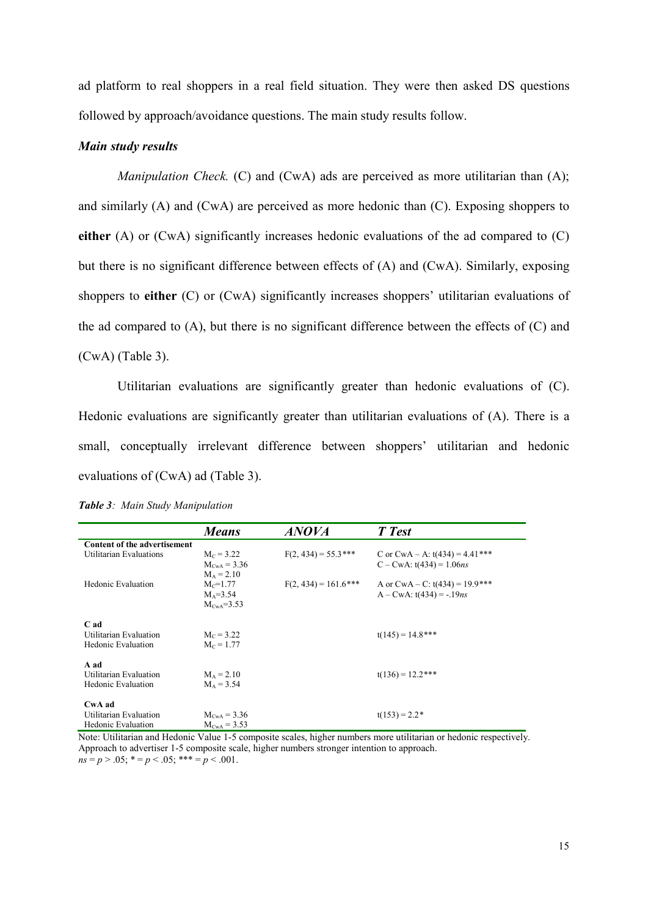ad platform to real shoppers in a real field situation. They were then asked DS questions followed by approach/avoidance questions. The main study results follow.

## *Main study results*

*Manipulation Check.* (C) and (CwA) ads are perceived as more utilitarian than (A); and similarly (A) and (CwA) are perceived as more hedonic than (C). Exposing shoppers to **either** (A) or (CwA) significantly increases hedonic evaluations of the ad compared to (C) but there is no significant difference between effects of (A) and (CwA). Similarly, exposing shoppers to **either** (C) or (CwA) significantly increases shoppers' utilitarian evaluations of the ad compared to (A), but there is no significant difference between the effects of (C) and (CwA) (Table 3).

Utilitarian evaluations are significantly greater than hedonic evaluations of (C). Hedonic evaluations are significantly greater than utilitarian evaluations of (A). There is a small, conceptually irrelevant difference between shoppers' utilitarian and hedonic evaluations of (CwA) ad (Table 3).

|                                | <b>Means</b>          | <b>ANOVA</b>            | T Test                                |
|--------------------------------|-----------------------|-------------------------|---------------------------------------|
| Content of the advertisement   |                       |                         |                                       |
| Utilitarian Evaluations        | $M_c = 3.22$          | $F(2, 434) = 55.3$ ***  | C or CwA – A: $t(434) = 4.41***$      |
|                                | $M_{CWA} = 3.36$      |                         | $C - C w A$ : t(434) = 1.06 <i>ns</i> |
|                                | $M_A = 2.10$          |                         |                                       |
| Hedonic Evaluation             | $M_c = 1.77$          | $F(2, 434) = 161.6$ *** | A or CwA – C: $t(434) = 19.9$ ***     |
|                                | $M_A = 3.54$          |                         | $A - CWA$ : t(434) = -.19 <i>ns</i>   |
|                                | $M_{\text{Cwa}}=3.53$ |                         |                                       |
|                                |                       |                         |                                       |
| C ad<br>Utilitarian Evaluation | $M_c = 3.22$          |                         | $t(145) = 14.8$ ***                   |
| <b>Hedonic Evaluation</b>      | $M_c = 1.77$          |                         |                                       |
|                                |                       |                         |                                       |
| A ad                           |                       |                         |                                       |
| Utilitarian Evaluation         | $M_A = 2.10$          |                         | $t(136) = 12.2$ ***                   |
| <b>Hedonic Evaluation</b>      | $M_A = 3.54$          |                         |                                       |
|                                |                       |                         |                                       |
| CwA ad                         |                       |                         |                                       |
| Utilitarian Evaluation         | $M_{CWA} = 3.36$      |                         | $t(153) = 2.2*$                       |
| <b>Hedonic Evaluation</b>      | $M_{CWA} = 3.53$      |                         |                                       |

*Table 3: Main Study Manipulation*

Note: Utilitarian and Hedonic Value 1-5 composite scales, higher numbers more utilitarian or hedonic respectively. Approach to advertiser 1-5 composite scale, higher numbers stronger intention to approach.  $n_s = p > .05$ ;  $* = p < .05$ ;  $*** = p < .001$ .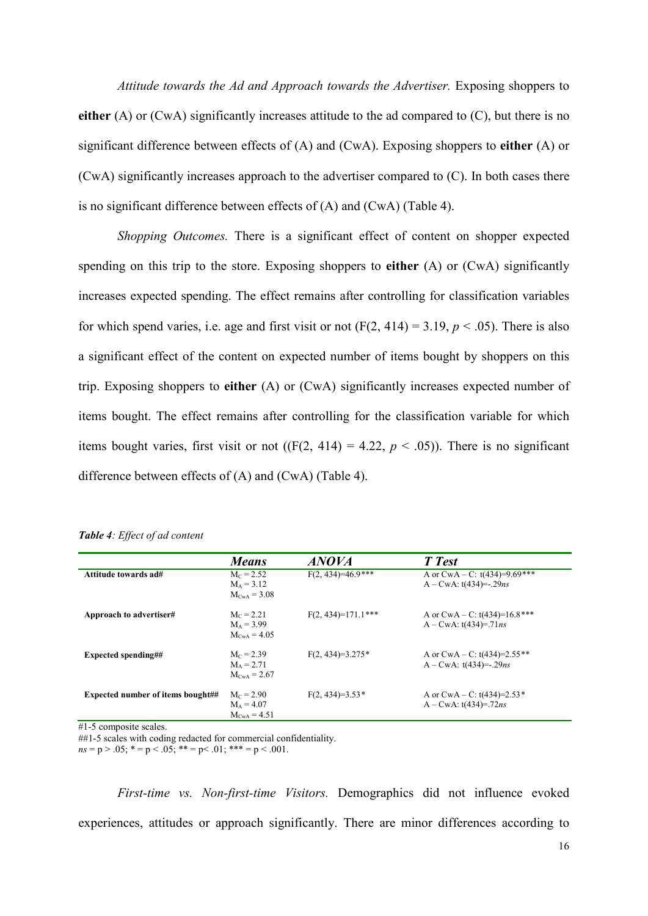*Attitude towards the Ad and Approach towards the Advertiser.* Exposing shoppers to **either** (A) or (CwA) significantly increases attitude to the ad compared to (C), but there is no significant difference between effects of (A) and (CwA). Exposing shoppers to **either** (A) or (CwA) significantly increases approach to the advertiser compared to (C). In both cases there is no significant difference between effects of (A) and (CwA) (Table 4).

*Shopping Outcomes.* There is a significant effect of content on shopper expected spending on this trip to the store. Exposing shoppers to **either** (A) or (CwA) significantly increases expected spending. The effect remains after controlling for classification variables for which spend varies, i.e. age and first visit or not  $(F(2, 414) = 3.19, p < .05)$ . There is also a significant effect of the content on expected number of items bought by shoppers on this trip. Exposing shoppers to **either** (A) or (CwA) significantly increases expected number of items bought. The effect remains after controlling for the classification variable for which items bought varies, first visit or not  $((F(2, 414) = 4.22, p < .05))$ . There is no significant difference between effects of (A) and (CwA) (Table 4).

|                                          | <b>Means</b>                                            | <i>ANOVA</i>         | T Test                                                              |
|------------------------------------------|---------------------------------------------------------|----------------------|---------------------------------------------------------------------|
| Attitude towards ad#                     | $M_c = 2.52$<br>$M_A = 3.12$<br>$M_{CWA} = 3.08$        | $F(2, 434)=46.9***$  | A or CwA – C: $t(434)=9.69***$<br>$A - CWA$ : t(434)=-.29 <i>ns</i> |
| Approach to advertiser#                  | $M_c = 2.21$<br>$M_A = 3.99$<br>$M_{\text{Cwa}} = 4.05$ | $F(2, 434)=171.1***$ | A or $CWA - C$ : t(434)=16.8***<br>$A - CwA$ : t(434)=.71 <i>ns</i> |
| <b>Expected spending##</b>               | $M_c = 2.39$<br>$M_A = 2.71$<br>$M_{CWA} = 2.67$        | $F(2, 434)=3.275*$   | A or CwA – C: $t(434)=2.55**$<br>A – CwA: $t(434)$ =-.29 <i>ns</i>  |
| <b>Expected number of items bought##</b> | $M_c = 2.90$<br>$M_A = 4.07$<br>$M_{CWA} = 4.51$        | $F(2, 434)=3.53*$    | A or CwA – C: t(434)=2.53*<br>$A - CWA$ : t(434)=.72ns              |

|  |  |  |  |  | Table 4: Effect of ad content |
|--|--|--|--|--|-------------------------------|
|--|--|--|--|--|-------------------------------|

#1-5 composite scales.

##1-5 scales with coding redacted for commercial confidentiality.

 $ns = p > .05$ ;  $* = p < .05$ ;  $** = p < .01$ ;  $*** = p < .001$ .

*First-time vs. Non-first-time Visitors.* Demographics did not influence evoked experiences, attitudes or approach significantly. There are minor differences according to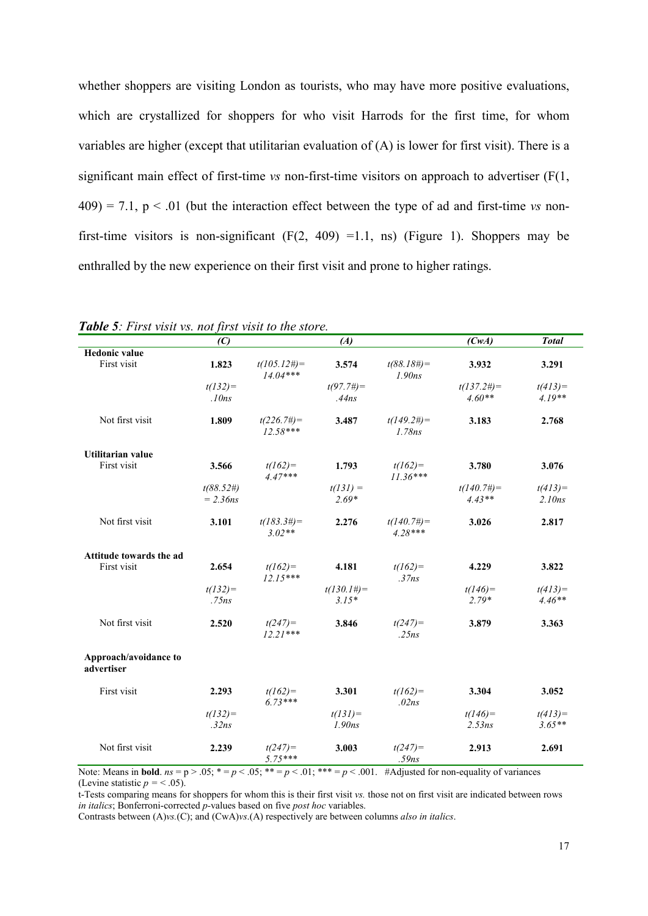whether shoppers are visiting London as tourists, who may have more positive evaluations, which are crystallized for shoppers for who visit Harrods for the first time, for whom variables are higher (except that utilitarian evaluation of (A) is lower for first visit). There is a significant main effect of first-time *vs* non-first-time visitors on approach to advertiser (F(1,  $409$ ) = 7.1, p < .01 (but the interaction effect between the type of ad and first-time *vs* nonfirst-time visitors is non-significant  $(F(2, 409) = 1.1, \text{ ns})$  (Figure 1). Shoppers may be enthralled by the new experience on their first visit and prone to higher ratings.

|                                     | (C)          |                              | (A)                |                                     | (CwA)         | <b>Total</b> |
|-------------------------------------|--------------|------------------------------|--------------------|-------------------------------------|---------------|--------------|
| <b>Hedonic value</b>                |              |                              |                    |                                     |               |              |
| First visit                         | 1.823        | $t(105.12\#)=$<br>$14.04***$ | 3.574              | $t(88.18\#)=$<br>1.90 <sub>ns</sub> | 3.932         | 3.291        |
|                                     | $t(132)=$    |                              | $t(97.7\#)=$       |                                     | $t(137.2\#)=$ | $t(413) =$   |
|                                     | .10ns        |                              | .44ns              |                                     | $4.60**$      | $4.19**$     |
| Not first visit                     | 1.809        | $t(226.7\#)=$<br>$12.58***$  | 3.487              | $t(149.2\#)=$<br>1.78ns             | 3.183         | 2.768        |
| <b>Utilitarian value</b>            |              |                              |                    |                                     |               |              |
| First visit                         | 3.566        | $t(162)=$<br>$4.47***$       | 1.793              | $t(162)=$<br>$11.36***$             | 3.780         | 3.076        |
|                                     | $t(88.52\#)$ |                              | $t(131) =$         |                                     | $t(140.7\#)=$ | $t(413)=$    |
|                                     | $= 2.36$ ns  |                              | $2.69*$            |                                     | $4.43**$      | 2.10ns       |
| Not first visit                     | 3.101        | $t(183.3\#)=$<br>$3.02**$    | 2.276              | $t(140.7\#)=$<br>$4.28***$          | 3.026         | 2.817        |
| Attitude towards the ad             |              |                              |                    |                                     |               |              |
| First visit                         | 2.654        | $t(162) =$<br>$12.15***$     | 4.181              | $t(162) =$<br>.37ns                 | 4.229         | 3.822        |
|                                     | $t(132)=$    |                              | $t(130.1\#)=$      |                                     | $t(146) =$    | $t(413) =$   |
|                                     | .75ns        |                              | $3.15*$            |                                     | $2.79*$       | $4.46**$     |
| Not first visit                     | 2.520        | $t(247) =$<br>$12.21***$     | 3.846              | $t(247) =$<br>.25ns                 | 3.879         | 3.363        |
| Approach/avoidance to<br>advertiser |              |                              |                    |                                     |               |              |
| First visit                         | 2.293        | $t(162) =$<br>$6.73***$      | 3.301              | $t(162)=$<br>.02ns                  | 3.304         | 3.052        |
|                                     | $t(132)=$    |                              | $t(131) =$         |                                     | $t(146) =$    | $t(413) =$   |
|                                     | .32ns        |                              | 1.90 <sub>ns</sub> |                                     | 2.53ns        | $3.65**$     |
| Not first visit                     | 2.239        | $t(247) =$<br>$5.75***$      | 3.003              | $t(247) =$<br>.59ns                 | 2.913         | 2.691        |

*Table 5: First visit vs. not first visit to the store.*

Note: Means in **bold**.  $ns = p > 0.05$ ;  $* = p < 0.05$ ;  $** = p < 0.01$ ;  $** = p < 0.01$ . #Adjusted for non-equality of variances (Levine statistic  $p = <.05$ ).

t-Tests comparing means for shoppers for whom this is their first visit *vs.* those not on first visit are indicated between rows *in italics*; Bonferroni-corrected *p-*values based on five *post hoc* variables.

Contrasts between (A)*vs.*(C); and (CwA)*vs*.(A) respectively are between columns *also in italics*.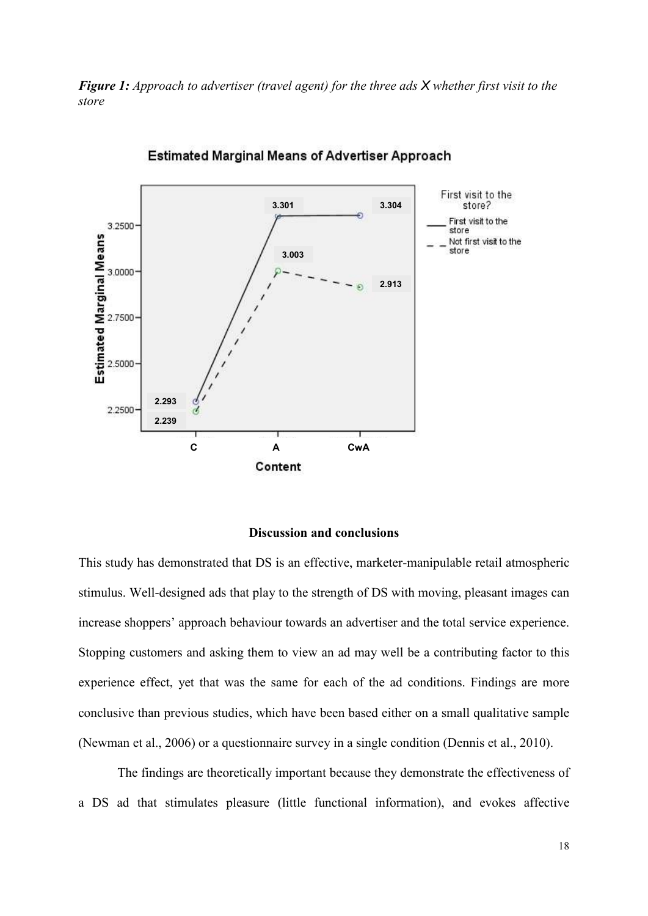*Figure 1: Approach to advertiser (travel agent) for the three ads X whether first visit to the store*



**Estimated Marginal Means of Advertiser Approach** 

## **Discussion and conclusions**

This study has demonstrated that DS is an effective, marketer-manipulable retail atmospheric stimulus. Well-designed ads that play to the strength of DS with moving, pleasant images can increase shoppers' approach behaviour towards an advertiser and the total service experience. Stopping customers and asking them to view an ad may well be a contributing factor to this experience effect, yet that was the same for each of the ad conditions. Findings are more conclusive than previous studies, which have been based either on a small qualitative sample (Newman et al., 2006) or a questionnaire survey in a single condition (Dennis et al., 2010).

The findings are theoretically important because they demonstrate the effectiveness of a DS ad that stimulates pleasure (little functional information), and evokes affective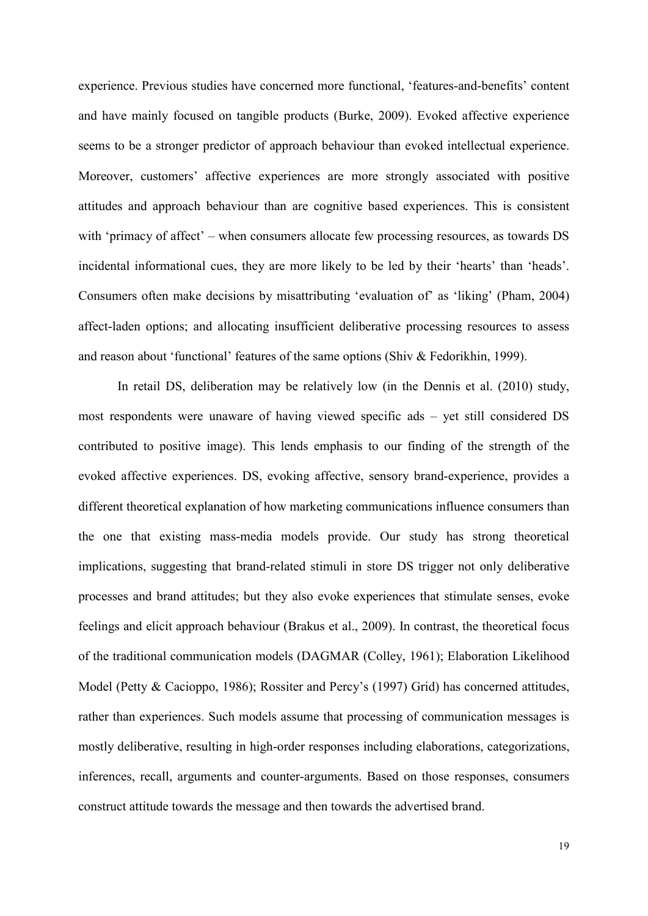experience. Previous studies have concerned more functional, 'features-and-benefits' content and have mainly focused on tangible products (Burke, 2009). Evoked affective experience seems to be a stronger predictor of approach behaviour than evoked intellectual experience. Moreover, customers' affective experiences are more strongly associated with positive attitudes and approach behaviour than are cognitive based experiences. This is consistent with 'primacy of affect' – when consumers allocate few processing resources, as towards DS incidental informational cues, they are more likely to be led by their 'hearts' than 'heads'. Consumers often make decisions by misattributing 'evaluation of' as 'liking' (Pham, 2004) affect-laden options; and allocating insufficient deliberative processing resources to assess and reason about 'functional' features of the same options (Shiv & Fedorikhin, 1999).

In retail DS, deliberation may be relatively low (in the Dennis et al. (2010) study, most respondents were unaware of having viewed specific ads – yet still considered DS contributed to positive image). This lends emphasis to our finding of the strength of the evoked affective experiences. DS, evoking affective, sensory brand-experience, provides a different theoretical explanation of how marketing communications influence consumers than the one that existing mass-media models provide. Our study has strong theoretical implications, suggesting that brand-related stimuli in store DS trigger not only deliberative processes and brand attitudes; but they also evoke experiences that stimulate senses, evoke feelings and elicit approach behaviour (Brakus et al., 2009). In contrast, the theoretical focus of the traditional communication models (DAGMAR (Colley, 1961); Elaboration Likelihood Model (Petty & Cacioppo, 1986); Rossiter and Percy's (1997) Grid) has concerned attitudes, rather than experiences. Such models assume that processing of communication messages is mostly deliberative, resulting in high-order responses including elaborations, categorizations, inferences, recall, arguments and counter-arguments. Based on those responses, consumers construct attitude towards the message and then towards the advertised brand.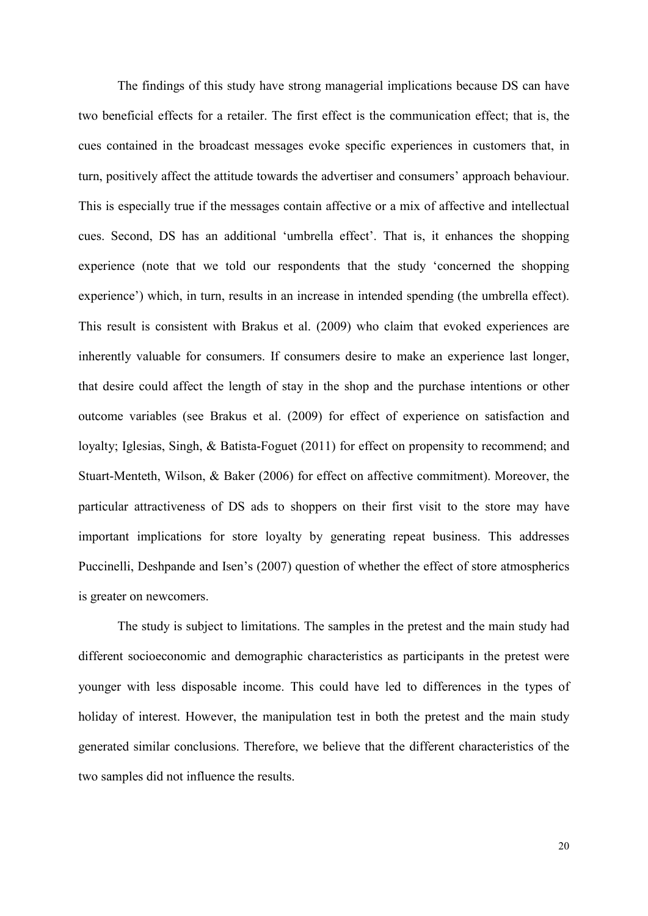The findings of this study have strong managerial implications because DS can have two beneficial effects for a retailer. The first effect is the communication effect; that is, the cues contained in the broadcast messages evoke specific experiences in customers that, in turn, positively affect the attitude towards the advertiser and consumers' approach behaviour. This is especially true if the messages contain affective or a mix of affective and intellectual cues. Second, DS has an additional 'umbrella effect'. That is, it enhances the shopping experience (note that we told our respondents that the study 'concerned the shopping experience') which, in turn, results in an increase in intended spending (the umbrella effect). This result is consistent with Brakus et al. (2009) who claim that evoked experiences are inherently valuable for consumers. If consumers desire to make an experience last longer, that desire could affect the length of stay in the shop and the purchase intentions or other outcome variables (see Brakus et al. (2009) for effect of experience on satisfaction and loyalty; Iglesias, Singh, & Batista-Foguet (2011) for effect on propensity to recommend; and Stuart-Menteth, Wilson, & Baker (2006) for effect on affective commitment). Moreover, the particular attractiveness of DS ads to shoppers on their first visit to the store may have important implications for store loyalty by generating repeat business. This addresses Puccinelli, Deshpande and Isen's (2007) question of whether the effect of store atmospherics is greater on newcomers.

The study is subject to limitations. The samples in the pretest and the main study had different socioeconomic and demographic characteristics as participants in the pretest were younger with less disposable income. This could have led to differences in the types of holiday of interest. However, the manipulation test in both the pretest and the main study generated similar conclusions. Therefore, we believe that the different characteristics of the two samples did not influence the results.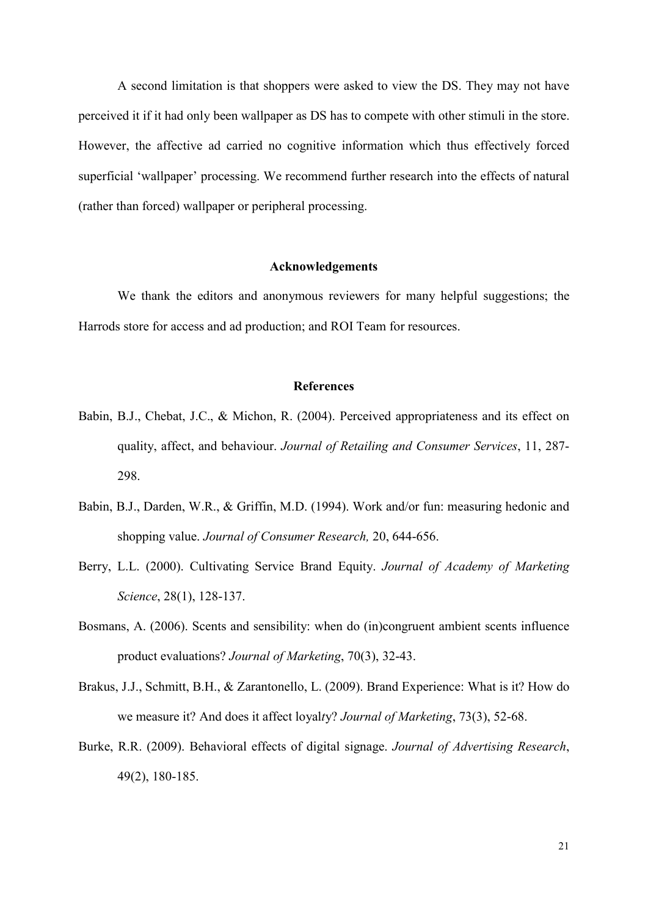A second limitation is that shoppers were asked to view the DS. They may not have perceived it if it had only been wallpaper as DS has to compete with other stimuli in the store. However, the affective ad carried no cognitive information which thus effectively forced superficial 'wallpaper' processing. We recommend further research into the effects of natural (rather than forced) wallpaper or peripheral processing.

## **Acknowledgements**

We thank the editors and anonymous reviewers for many helpful suggestions; the Harrods store for access and ad production; and ROI Team for resources.

# **References**

- Babin, B.J., Chebat, J.C., & Michon, R. (2004). Perceived appropriateness and its effect on quality, affect, and behaviour. *Journal of Retailing and Consumer Services*, 11, 287- 298.
- Babin, B.J., Darden, W.R., & Griffin, M.D. (1994). Work and/or fun: measuring hedonic and shopping value. *Journal of Consumer Research,* 20, 644-656.
- Berry, L.L. (2000). Cultivating Service Brand Equity. *Journal of Academy of Marketing Science*, 28(1), 128-137.
- Bosmans, A. (2006). Scents and sensibility: when do (in)congruent ambient scents influence product evaluations? *Journal of Marketing*, 70(3), 32-43.
- Brakus, J.J., Schmitt, B.H., & Zarantonello, L. (2009). Brand Experience: What is it? How do we measure it? And does it affect loyal*t*y? *Journal of Marketing*, 73(3), 52-68.
- Burke, R.R. (2009). Behavioral effects of digital signage. *Journal of Advertising Research*, 49(2), 180-185.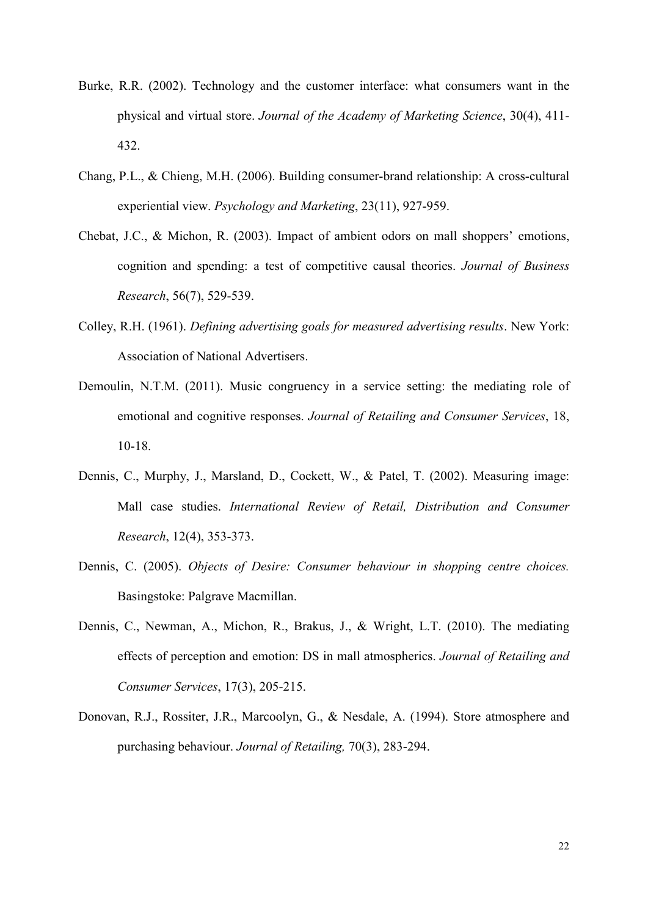- Burke, R.R. (2002). Technology and the customer interface: what consumers want in the physical and virtual store. *Journal of the Academy of Marketing Science*, 30(4), 411- 432.
- Chang, P.L., & Chieng, M.H. (2006). Building consumer-brand relationship: A cross-cultural experiential view. *Psychology and Marketing*, 23(11), 927-959.
- Chebat, J.C., & Michon, R. (2003). Impact of ambient odors on mall shoppers' emotions, cognition and spending: a test of competitive causal theories. *Journal of Business Research*, 56(7), 529-539.
- Colley, R.H. (1961). *Defining advertising goals for measured advertising results*. New York: Association of National Advertisers.
- Demoulin, N.T.M. (2011). Music congruency in a service setting: the mediating role of emotional and cognitive responses. *Journal of Retailing and Consumer Services*, 18, 10-18.
- Dennis, C., Murphy, J., Marsland, D., Cockett, W., & Patel, T. (2002). Measuring image: Mall case studies. *International Review of Retail, Distribution and Consumer Research*, 12(4), 353-373.
- Dennis, C. (2005). *Objects of Desire: Consumer behaviour in shopping centre choices.*  Basingstoke: Palgrave Macmillan.
- Dennis, C., Newman, A., Michon, R., Brakus, J., & Wright, L.T. (2010). The mediating effects of perception and emotion: DS in mall atmospherics. *Journal of Retailing and Consumer Services*, 17(3), 205-215.
- Donovan, R.J., Rossiter, J.R., Marcoolyn, G., & Nesdale, A. (1994). Store atmosphere and purchasing behaviour. *Journal of Retailing,* 70(3), 283-294.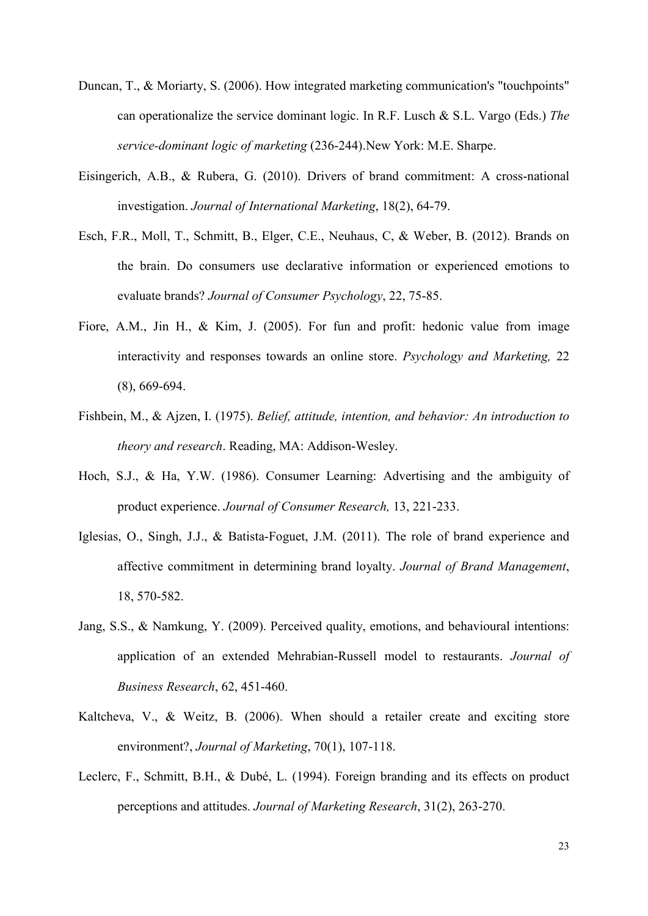- Duncan, T., & Moriarty, S. (2006). How integrated marketing communication's "touchpoints" can operationalize the service dominant logic. In R.F. Lusch & S.L. Vargo (Eds.) *The service-dominant logic of marketing* (236-244).New York: M.E. Sharpe.
- Eisingerich, A.B., & Rubera, G. (2010). Drivers of brand commitment: A cross-national investigation. *Journal of International Marketing*, 18(2), 64-79.
- Esch, F.R., Moll, T., Schmitt, B., Elger, C.E., Neuhaus, C, & Weber, B. (2012). Brands on the brain. Do consumers use declarative information or experienced emotions to evaluate brands? *Journal of Consumer Psychology*, 22, 75-85.
- Fiore, A.M., Jin H., & Kim, J. (2005). For fun and profit: hedonic value from image interactivity and responses towards an online store. *Psychology and Marketing,* 22 (8), 669-694.
- Fishbein, M., & Ajzen, I. (1975). *Belief, attitude, intention, and behavior: An introduction to theory and research*. Reading, MA: Addison-Wesley.
- Hoch, S.J., & Ha, Y.W. (1986). Consumer Learning: Advertising and the ambiguity of product experience. *Journal of Consumer Research,* 13, 221-233.
- Iglesias, O., Singh, J.J., & Batista-Foguet, J.M. (2011). The role of brand experience and affective commitment in determining brand loyalty. *Journal of Brand Management*, 18, 570-582.
- Jang, S.S., & Namkung, Y. (2009). Perceived quality, emotions, and behavioural intentions: application of an extended Mehrabian-Russell model to restaurants. *Journal of Business Research*, 62, 451-460.
- Kaltcheva, V., & Weitz, B. (2006). When should a retailer create and exciting store environment?, *Journal of Marketing*, 70(1), 107-118.
- Leclerc, F., Schmitt, B.H., & Dubé, L. (1994). Foreign branding and its effects on product perceptions and attitudes. *Journal of Marketing Research*, 31(2), 263-270.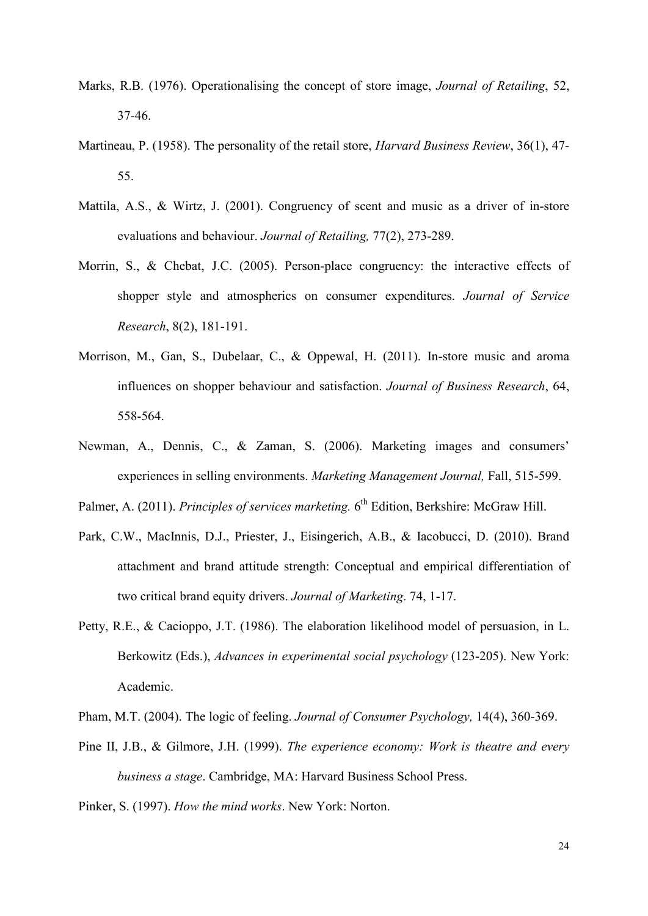- Marks, R.B. (1976). Operationalising the concept of store image, *Journal of Retailing*, 52, 37-46.
- Martineau, P. (1958). The personality of the retail store, *Harvard Business Review*, 36(1), 47- 55.
- Mattila, A.S., & Wirtz, J. (2001). Congruency of scent and music as a driver of in-store evaluations and behaviour. *Journal of Retailing,* 77(2), 273-289.
- Morrin, S., & Chebat, J.C. (2005). Person-place congruency: the interactive effects of shopper style and atmospherics on consumer expenditures. *Journal of Service Research*, 8(2), 181-191.
- Morrison, M., Gan, S., Dubelaar, C., & Oppewal, H. (2011). In-store music and aroma influences on shopper behaviour and satisfaction. *Journal of Business Research*, 64, 558-564.
- Newman, A., Dennis, C., & Zaman, S. (2006). Marketing images and consumers' experiences in selling environments. *Marketing Management Journal,* Fall, 515-599.

Palmer, A. (2011). *Principles of services marketing.* 6<sup>th</sup> Edition, Berkshire: McGraw Hill.

- Park, C.W., MacInnis, D.J., Priester, J., Eisingerich, A.B., & Iacobucci, D. (2010). Brand attachment and brand attitude strength: Conceptual and empirical differentiation of two critical brand equity drivers. *Journal of Marketing*. 74, 1-17.
- Petty, R.E., & Cacioppo, J.T. (1986). The elaboration likelihood model of persuasion, in L. Berkowitz (Eds.), *Advances in experimental social psychology* (123-205). New York: Academic.
- Pham, M.T. (2004). The logic of feeling. *Journal of Consumer Psychology,* 14(4), 360-369.
- Pine II, J.B., & Gilmore, J.H. (1999). *The experience economy: Work is theatre and every business a stage*. Cambridge, MA: Harvard Business School Press.

Pinker, S. (1997). *How the mind works*. New York: Norton.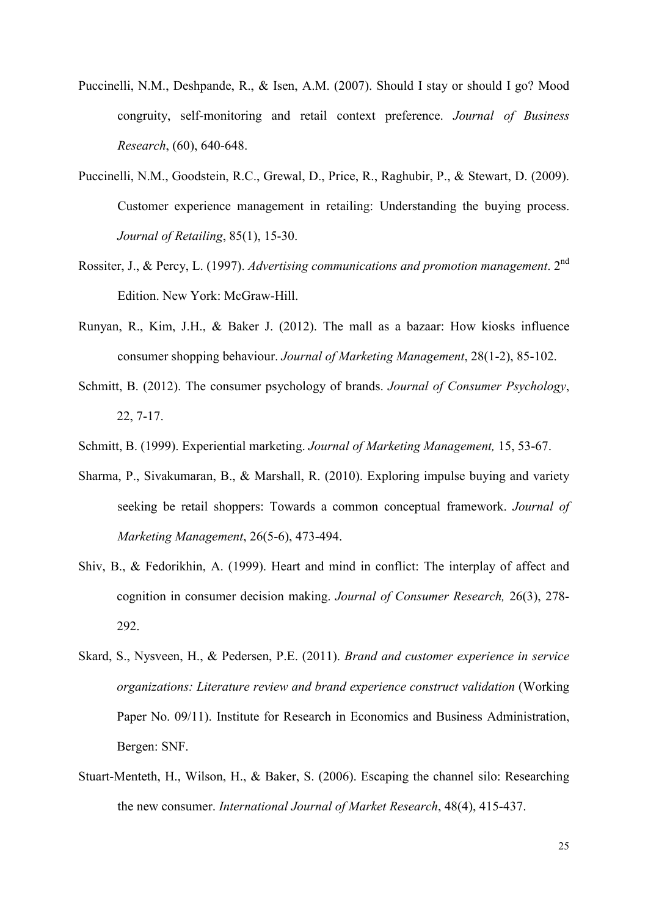- Puccinelli, N.M., Deshpande, R., & Isen, A.M. (2007). Should I stay or should I go? Mood congruity, self-monitoring and retail context preference. *Journal of Business Research*, (60), 640-648.
- Puccinelli, N.M., Goodstein, R.C., Grewal, D., Price, R., Raghubir, P., & Stewart, D. (2009). Customer experience management in retailing: Understanding the buying process. *Journal of Retailing*, 85(1), 15-30.
- Rossiter, J., & Percy, L. (1997). *Advertising communications and promotion management*. 2nd Edition. New York: McGraw-Hill.
- Runyan, R., Kim, J.H., & Baker J. (2012). The mall as a bazaar: How kiosks influence consumer shopping behaviour. *Journal of Marketing Management*, 28(1-2), 85-102.
- Schmitt, B. (2012). The consumer psychology of brands. *Journal of Consumer Psychology*, 22, 7-17.
- Schmitt, B. (1999). Experiential marketing. *Journal of Marketing Management,* 15, 53-67.
- Sharma, P., Sivakumaran, B., & Marshall, R. (2010). Exploring impulse buying and variety seeking be retail shoppers: Towards a common conceptual framework. *Journal of Marketing Management*, 26(5-6), 473-494.
- Shiv, B., & Fedorikhin, A. (1999). Heart and mind in conflict: The interplay of affect and cognition in consumer decision making. *Journal of Consumer Research,* 26(3), 278- 292.
- Skard, S., Nysveen, H., & Pedersen, P.E. (2011). *Brand and customer experience in service organizations: Literature review and brand experience construct validation* (Working Paper No. 09/11). Institute for Research in Economics and Business Administration, Bergen: SNF.
- Stuart-Menteth, H., Wilson, H., & Baker, S. (2006). Escaping the channel silo: Researching the new consumer. *International Journal of Market Research*, 48(4), 415-437.